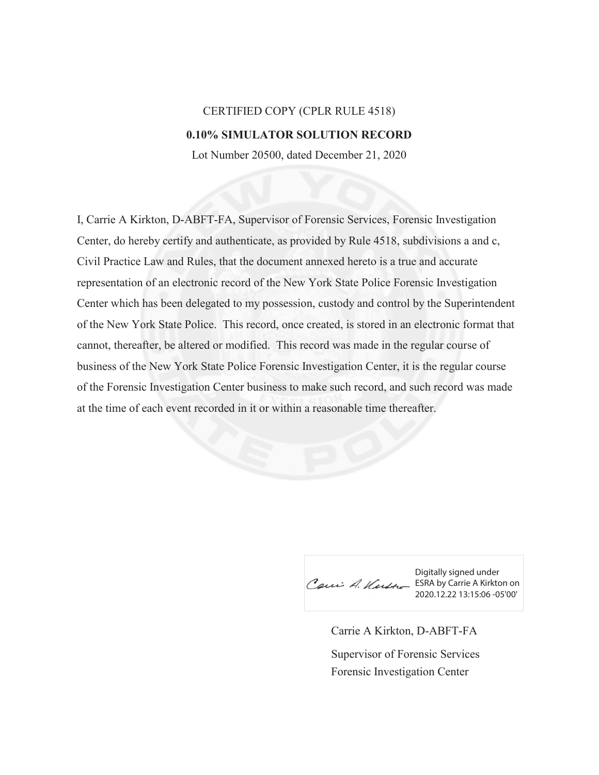## CERTIFIED COPY (CPLR RULE 4518) **0.10% SIMULATOR SOLUTION RECORD**

Lot Number 20500, dated December 21, 2020

I, Carrie A Kirkton, D-ABFT-FA, Supervisor of Forensic Services, Forensic Investigation Center, do hereby certify and authenticate, as provided by Rule 4518, subdivisions a and c, Civil Practice Law and Rules, that the document annexed hereto is a true and accurate representation of an electronic record of the New York State Police Forensic Investigation Center which has been delegated to my possession, custody and control by the Superintendent of the New York State Police. This record, once created, is stored in an electronic format that cannot, thereafter, be altered or modified. This record was made in the regular course of business of the New York State Police Forensic Investigation Center, it is the regular course of the Forensic Investigation Center business to make such record, and such record was made at the time of each event recorded in it or within a reasonable time thereafter.

Digitally signed under Cau A. Kutte ESRA by Carrie A Kirkton on 2020.12.22 13:15:06 -05'00'

Carrie A Kirkton, D-ABFT-FA Forensic Investigation Center Supervisor of Forensic Services